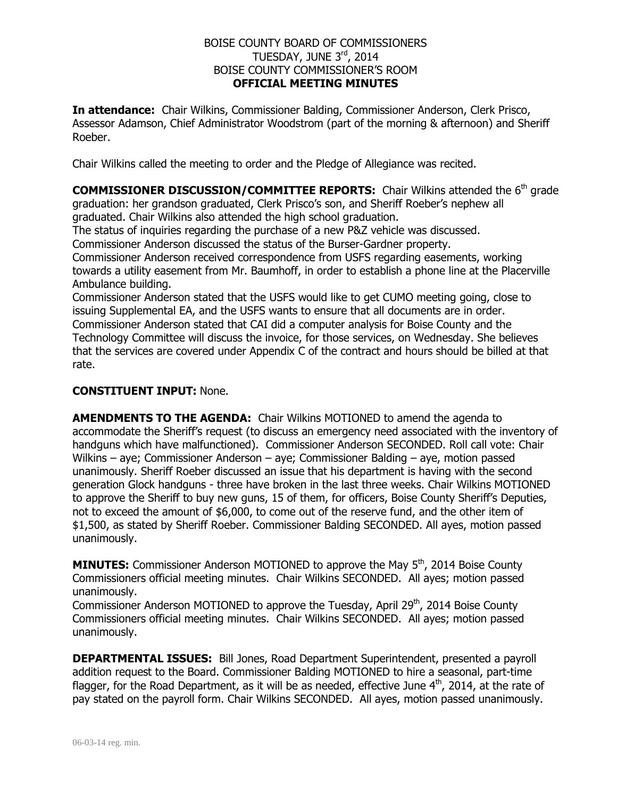## BOISE COUNTY BOARD OF COMMISSIONERS TUESDAY, JUNE 3rd, 2014 BOISE COUNTY COMMISSIONER'S ROOM **OFFICIAL MEETING MINUTES**

**In attendance:** Chair Wilkins, Commissioner Balding, Commissioner Anderson, Clerk Prisco, Assessor Adamson, Chief Administrator Woodstrom (part of the morning & afternoon) and Sheriff Roeber.

Chair Wilkins called the meeting to order and the Pledge of Allegiance was recited.

**COMMISSIONER DISCUSSION/COMMITTEE REPORTS:** Chair Wilkins attended the 6<sup>th</sup> grade graduation: her grandson graduated, Clerk Prisco's son, and Sheriff Roeber's nephew all graduated. Chair Wilkins also attended the high school graduation.

The status of inquiries regarding the purchase of a new P&Z vehicle was discussed. Commissioner Anderson discussed the status of the Burser-Gardner property.

Commissioner Anderson received correspondence from USFS regarding easements, working towards a utility easement from Mr. Baumhoff, in order to establish a phone line at the Placerville Ambulance building.

Commissioner Anderson stated that the USFS would like to get CUMO meeting going, close to issuing Supplemental EA, and the USFS wants to ensure that all documents are in order. Commissioner Anderson stated that CAI did a computer analysis for Boise County and the Technology Committee will discuss the invoice, for those services, on Wednesday. She believes that the services are covered under Appendix C of the contract and hours should be billed at that rate.

## **CONSTITUENT INPUT:** None.

**AMENDMENTS TO THE AGENDA:** Chair Wilkins MOTIONED to amend the agenda to accommodate the Sheriff's request (to discuss an emergency need associated with the inventory of handguns which have malfunctioned). Commissioner Anderson SECONDED. Roll call vote: Chair Wilkins – aye; Commissioner Anderson – aye; Commissioner Balding – aye, motion passed unanimously. Sheriff Roeber discussed an issue that his department is having with the second generation Glock handguns - three have broken in the last three weeks. Chair Wilkins MOTIONED to approve the Sheriff to buy new guns, 15 of them, for officers, Boise County Sheriff's Deputies, not to exceed the amount of \$6,000, to come out of the reserve fund, and the other item of \$1,500, as stated by Sheriff Roeber. Commissioner Balding SECONDED. All ayes, motion passed unanimously.

**MINUTES:** Commissioner Anderson MOTIONED to approve the May 5<sup>th</sup>, 2014 Boise County Commissioners official meeting minutes. Chair Wilkins SECONDED. All ayes; motion passed unanimously.

Commissioner Anderson MOTIONED to approve the Tuesday, April 29<sup>th</sup>, 2014 Boise County Commissioners official meeting minutes. Chair Wilkins SECONDED. All ayes; motion passed unanimously.

**DEPARTMENTAL ISSUES:** Bill Jones, Road Department Superintendent, presented a payroll addition request to the Board. Commissioner Balding MOTIONED to hire a seasonal, part-time flagger, for the Road Department, as it will be as needed, effective June  $4<sup>th</sup>$ , 2014, at the rate of pay stated on the payroll form. Chair Wilkins SECONDED. All ayes, motion passed unanimously.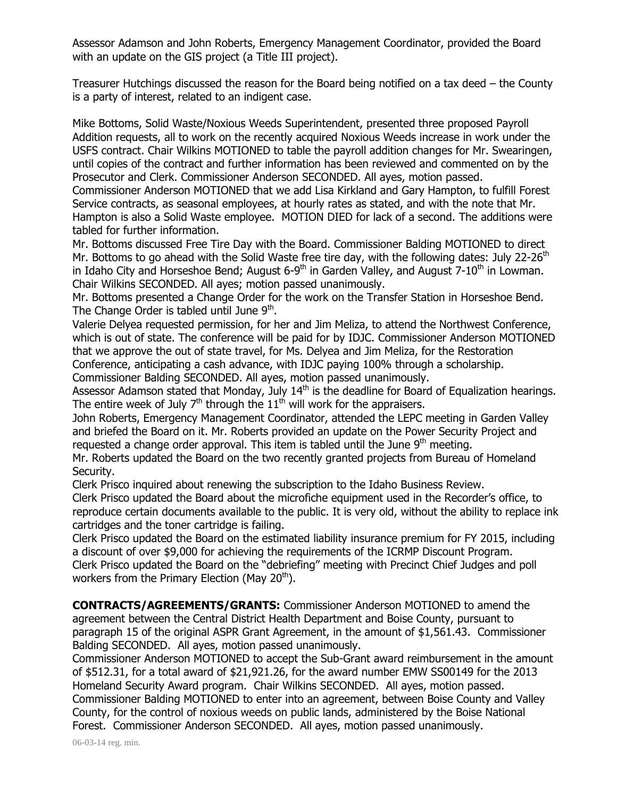Assessor Adamson and John Roberts, Emergency Management Coordinator, provided the Board with an update on the GIS project (a Title III project).

Treasurer Hutchings discussed the reason for the Board being notified on a tax deed – the County is a party of interest, related to an indigent case.

Mike Bottoms, Solid Waste/Noxious Weeds Superintendent, presented three proposed Payroll Addition requests, all to work on the recently acquired Noxious Weeds increase in work under the USFS contract. Chair Wilkins MOTIONED to table the payroll addition changes for Mr. Swearingen, until copies of the contract and further information has been reviewed and commented on by the Prosecutor and Clerk. Commissioner Anderson SECONDED. All ayes, motion passed.

Commissioner Anderson MOTIONED that we add Lisa Kirkland and Gary Hampton, to fulfill Forest Service contracts, as seasonal employees, at hourly rates as stated, and with the note that Mr. Hampton is also a Solid Waste employee. MOTION DIED for lack of a second. The additions were tabled for further information.

Mr. Bottoms discussed Free Tire Day with the Board. Commissioner Balding MOTIONED to direct Mr. Bottoms to go ahead with the Solid Waste free tire day, with the following dates: July 22-26<sup>th</sup> in Idaho City and Horseshoe Bend; August 6-9<sup>th</sup> in Garden Valley, and August 7-10<sup>th</sup> in Lowman. Chair Wilkins SECONDED. All ayes; motion passed unanimously.

Mr. Bottoms presented a Change Order for the work on the Transfer Station in Horseshoe Bend. The Change Order is tabled until June 9<sup>th</sup>.

Valerie Delyea requested permission, for her and Jim Meliza, to attend the Northwest Conference, which is out of state. The conference will be paid for by IDJC. Commissioner Anderson MOTIONED that we approve the out of state travel, for Ms. Delyea and Jim Meliza, for the Restoration Conference, anticipating a cash advance, with IDJC paying 100% through a scholarship. Commissioner Balding SECONDED. All ayes, motion passed unanimously.

Assessor Adamson stated that Monday, July  $14<sup>th</sup>$  is the deadline for Board of Equalization hearings. The entire week of July  $7<sup>th</sup>$  through the  $11<sup>th</sup>$  will work for the appraisers.

John Roberts, Emergency Management Coordinator, attended the LEPC meeting in Garden Valley and briefed the Board on it. Mr. Roberts provided an update on the Power Security Project and requested a change order approval. This item is tabled until the June  $9<sup>th</sup>$  meeting.

Mr. Roberts updated the Board on the two recently granted projects from Bureau of Homeland Security.

Clerk Prisco inquired about renewing the subscription to the Idaho Business Review.

Clerk Prisco updated the Board about the microfiche equipment used in the Recorder's office, to reproduce certain documents available to the public. It is very old, without the ability to replace ink cartridges and the toner cartridge is failing.

Clerk Prisco updated the Board on the estimated liability insurance premium for FY 2015, including a discount of over \$9,000 for achieving the requirements of the ICRMP Discount Program. Clerk Prisco updated the Board on the "debriefing" meeting with Precinct Chief Judges and poll workers from the Primary Election (May  $20<sup>th</sup>$ ).

**CONTRACTS/AGREEMENTS/GRANTS:** Commissioner Anderson MOTIONED to amend the agreement between the Central District Health Department and Boise County, pursuant to paragraph 15 of the original ASPR Grant Agreement, in the amount of \$1,561.43. Commissioner Balding SECONDED. All ayes, motion passed unanimously.

Commissioner Anderson MOTIONED to accept the Sub-Grant award reimbursement in the amount of \$512.31, for a total award of \$21,921.26, for the award number EMW SS00149 for the 2013 Homeland Security Award program. Chair Wilkins SECONDED. All ayes, motion passed. Commissioner Balding MOTIONED to enter into an agreement, between Boise County and Valley County, for the control of noxious weeds on public lands, administered by the Boise National Forest. Commissioner Anderson SECONDED. All ayes, motion passed unanimously.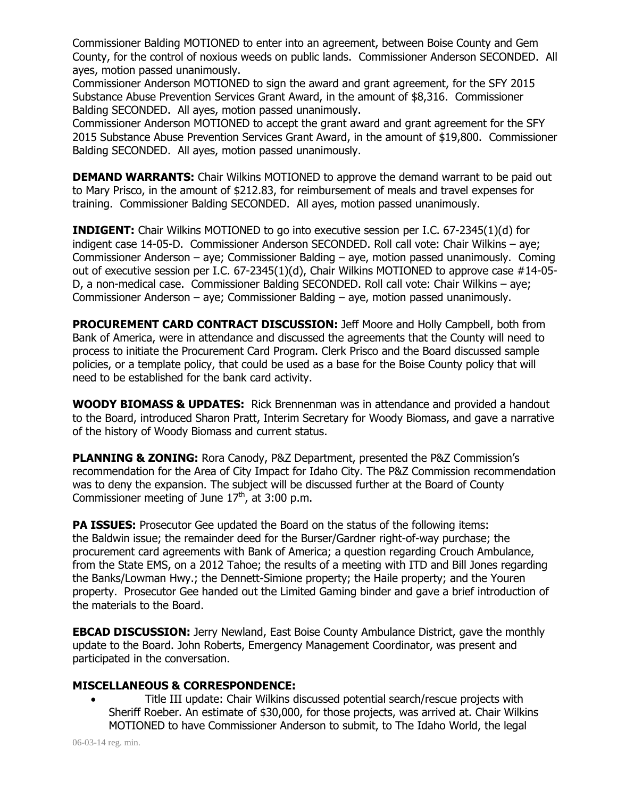Commissioner Balding MOTIONED to enter into an agreement, between Boise County and Gem County, for the control of noxious weeds on public lands. Commissioner Anderson SECONDED. All ayes, motion passed unanimously.

Commissioner Anderson MOTIONED to sign the award and grant agreement, for the SFY 2015 Substance Abuse Prevention Services Grant Award, in the amount of \$8,316. Commissioner Balding SECONDED. All ayes, motion passed unanimously.

Commissioner Anderson MOTIONED to accept the grant award and grant agreement for the SFY 2015 Substance Abuse Prevention Services Grant Award, in the amount of \$19,800. Commissioner Balding SECONDED. All ayes, motion passed unanimously.

**DEMAND WARRANTS:** Chair Wilkins MOTIONED to approve the demand warrant to be paid out to Mary Prisco, in the amount of \$212.83, for reimbursement of meals and travel expenses for training. Commissioner Balding SECONDED. All ayes, motion passed unanimously.

**INDIGENT:** Chair Wilkins MOTIONED to go into executive session per I.C. 67-2345(1)(d) for indigent case 14-05-D. Commissioner Anderson SECONDED. Roll call vote: Chair Wilkins – aye; Commissioner Anderson – aye; Commissioner Balding – aye, motion passed unanimously. Coming out of executive session per I.C. 67-2345(1)(d), Chair Wilkins MOTIONED to approve case #14-05- D, a non-medical case. Commissioner Balding SECONDED. Roll call vote: Chair Wilkins – aye; Commissioner Anderson – aye; Commissioner Balding – aye, motion passed unanimously.

**PROCUREMENT CARD CONTRACT DISCUSSION:** Jeff Moore and Holly Campbell, both from Bank of America, were in attendance and discussed the agreements that the County will need to process to initiate the Procurement Card Program. Clerk Prisco and the Board discussed sample policies, or a template policy, that could be used as a base for the Boise County policy that will need to be established for the bank card activity.

**WOODY BIOMASS & UPDATES:** Rick Brennenman was in attendance and provided a handout to the Board, introduced Sharon Pratt, Interim Secretary for Woody Biomass, and gave a narrative of the history of Woody Biomass and current status.

**PLANNING & ZONING:** Rora Canody, P&Z Department, presented the P&Z Commission's recommendation for the Area of City Impact for Idaho City. The P&Z Commission recommendation was to deny the expansion. The subject will be discussed further at the Board of County Commissioner meeting of June  $17<sup>th</sup>$ , at 3:00 p.m.

**PA ISSUES:** Prosecutor Gee updated the Board on the status of the following items: the Baldwin issue; the remainder deed for the Burser/Gardner right-of-way purchase; the procurement card agreements with Bank of America; a question regarding Crouch Ambulance, from the State EMS, on a 2012 Tahoe; the results of a meeting with ITD and Bill Jones regarding the Banks/Lowman Hwy.; the Dennett-Simione property; the Haile property; and the Youren property. Prosecutor Gee handed out the Limited Gaming binder and gave a brief introduction of the materials to the Board.

**EBCAD DISCUSSION:** Jerry Newland, East Boise County Ambulance District, gave the monthly update to the Board. John Roberts, Emergency Management Coordinator, was present and participated in the conversation.

## **MISCELLANEOUS & CORRESPONDENCE:**

 Title III update: Chair Wilkins discussed potential search/rescue projects with Sheriff Roeber. An estimate of \$30,000, for those projects, was arrived at. Chair Wilkins MOTIONED to have Commissioner Anderson to submit, to The Idaho World, the legal